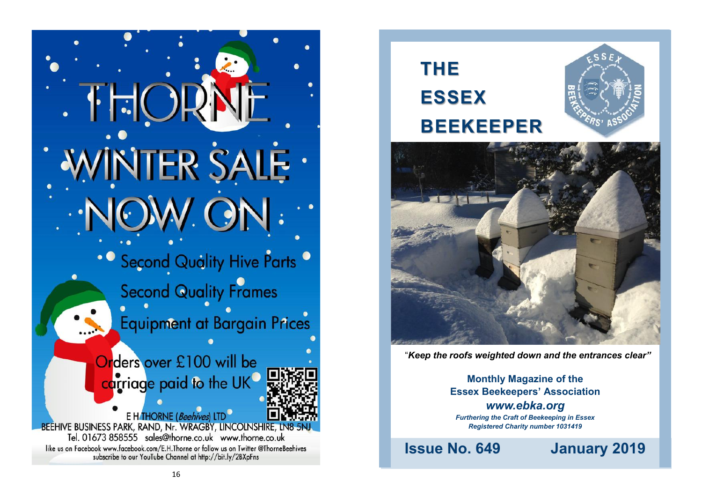WINTER SALE . • Second Quality Hive Parts <sup>o</sup> **Second Quality Frames Equipment at Bargain Prices** Orders over £100 will be carriage paid to the UK E HTHORNE (Beehives) LTD **BEEHIVE BUSINESS PARK, RAND, Nr. WRAGBY, LINCOLNSHIRE, LN8 5NJ** Tel. 01673 858555 sales@thorne.co.uk www.thorne.co.uk like us on Facebook www.facebook.com/E.H.Thorne or follow us on Twitter @ThorneBeehives subscribe to our YouTube Channel at http://bit.ly/2BXpFns



"*Keep the roofs weighted down and the entrances clear"*

**Monthly Magazine of the Essex Beekeepers' Association** *www.ebka.org Furthering the Craft of Beekeeping in Essex Registered Charity number 1031419*

**Issue No. 649 January 2019**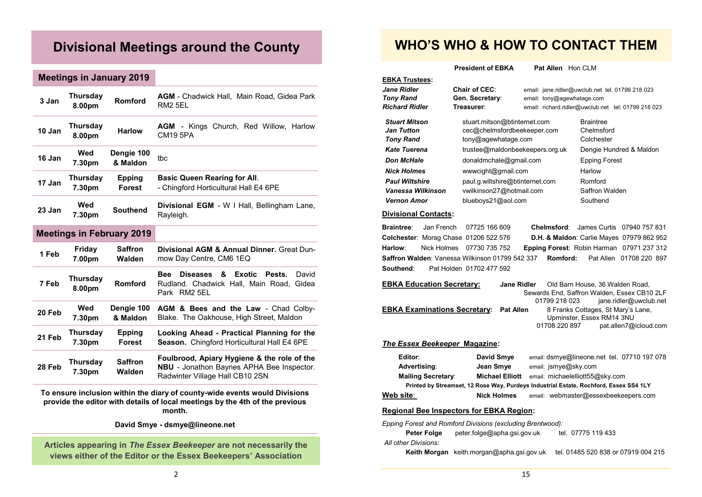# **Divisional Meetings around the County**

### **Meetings in January 2019**

| 3 Jan  | <b>Thursday</b><br>8.00pm | Romford                          | <b>AGM</b> - Chadwick Hall, Main Road, Gidea Park<br>RM <sub>2</sub> 5EL                                                                    |  |  |
|--------|---------------------------|----------------------------------|---------------------------------------------------------------------------------------------------------------------------------------------|--|--|
| 10 Jan | <b>Thursday</b><br>8.00pm | <b>Harlow</b>                    | <b>AGM</b> - Kings Church, Red Willow, Harlow<br><b>CM19 5PA</b>                                                                            |  |  |
| 16 Jan | Wed<br>7.30pm             | Dengie 100<br>& Maldon           | tbc                                                                                                                                         |  |  |
| 17 Jan | Thursday<br>7.30pm        | <b>Epping</b><br>Forest          | <b>Basic Queen Rearing for All.</b><br>- Chingford Horticultural Hall E4 6PE                                                                |  |  |
| 23 Jan | Wed<br>7.30pm             | <b>Southend</b>                  | <b>Divisional EGM</b> - W   Hall, Bellingham Lane,<br>Rayleigh.                                                                             |  |  |
|        |                           | <b>Meetings in February 2019</b> |                                                                                                                                             |  |  |
| 1 Feb  | Friday<br>7.00pm          | <b>Saffron</b><br>Walden         | Divisional AGM & Annual Dinner. Great Dun-<br>mow Day Centre, CM6 1EQ                                                                       |  |  |
| 7 Feb  | <b>Thursday</b><br>8.00pm | Romford                          | <b>Exotic</b><br><b>Bee</b><br><b>Diseases</b><br>&<br>David<br><b>Pests</b><br>Rudland. Chadwick Hall, Main Road.<br>Gidea<br>Park RM2 5EL |  |  |
| 20 Feb | Wed<br>7.30pm             | Dengie 100<br>& Maldon           | AGM & Bees and the Law - Chad Colby-<br>Blake. The Oakhouse, High Street, Maldon                                                            |  |  |
| 21 Feb | <b>Thursday</b><br>7.30pm | <b>Epping</b><br>Forest          | Looking Ahead - Practical Planning for the<br>Season. Chingford Horticultural Hall E4 6PE                                                   |  |  |
| 28 Feb | Thursday<br>7.30pm        | <b>Saffron</b><br>Walden         | Foulbrood, Apiary Hygiene & the role of the<br>NBU - Jonathon Baynes APHA Bee Inspector.<br>Radwinter Village Hall CB10 2SN                 |  |  |

**To ensure inclusion within the diary of county-wide events would Divisions provide the editor with details of local meetings by the 4th of the previous month.**

**David Smye - dsmye@lineone.net**

**Articles appearing in** *The Essex Beekeeper* **are not necessarily the views either of the Editor or the Essex Beekeepers' Association**

# **WHO'S WHO & HOW TO CONTACT THEM**

**President of EBKA** Pat Allen Hon CLM

| <b>EBKA Trustees:</b>                                                                                                                                                                                                                                                                                                                                |                                                                                                                                            |                                                                                                                                       |                                              |                                           |  |  |  |
|------------------------------------------------------------------------------------------------------------------------------------------------------------------------------------------------------------------------------------------------------------------------------------------------------------------------------------------------------|--------------------------------------------------------------------------------------------------------------------------------------------|---------------------------------------------------------------------------------------------------------------------------------------|----------------------------------------------|-------------------------------------------|--|--|--|
| Jane Ridler<br><b>Tony Rand</b><br><b>Richard Ridler</b>                                                                                                                                                                                                                                                                                             | <b>Chair of CEC:</b><br>Gen. Secretary:<br>Treasurer:                                                                                      | email: jane.ridler@uwclub.net tel. 01799 218 023<br>email: tony@agewhatage.com<br>email: richard.ridler@uwclub.net tel: 01799 218 023 |                                              |                                           |  |  |  |
| <b>Stuart Mitson</b><br><b>Jan Tutton</b><br><b>Tony Rand</b>                                                                                                                                                                                                                                                                                        | stuart.mitson@btinternet.com<br>cec@chelmsfordbeekeeper.com<br>tony@agewhatage.com                                                         |                                                                                                                                       | <b>Braintree</b><br>Chelmsford<br>Colchester |                                           |  |  |  |
| <b>Kate Tuerena</b>                                                                                                                                                                                                                                                                                                                                  | trustee@maldonbeekeepers.org.uk                                                                                                            |                                                                                                                                       | Dengie Hundred & Maldon                      |                                           |  |  |  |
| <b>Don McHale</b>                                                                                                                                                                                                                                                                                                                                    | donaldmchale@gmail.com                                                                                                                     |                                                                                                                                       | <b>Epping Forest</b>                         |                                           |  |  |  |
| <b>Nick Holmes</b>                                                                                                                                                                                                                                                                                                                                   | www.cight@gmail.com                                                                                                                        |                                                                                                                                       | Harlow                                       |                                           |  |  |  |
| <b>Paul Wiltshire</b>                                                                                                                                                                                                                                                                                                                                | paul.g.wiltshire@btinternet.com                                                                                                            |                                                                                                                                       | Romford                                      |                                           |  |  |  |
| Vanessa Wilkinson                                                                                                                                                                                                                                                                                                                                    | vwilkinson27@hotmail.com                                                                                                                   |                                                                                                                                       | Saffron Walden                               |                                           |  |  |  |
| <b>Vernon Amor</b>                                                                                                                                                                                                                                                                                                                                   | blueboys21@aol.com                                                                                                                         |                                                                                                                                       | Southend                                     |                                           |  |  |  |
| <b>Divisional Contacts:</b>                                                                                                                                                                                                                                                                                                                          |                                                                                                                                            |                                                                                                                                       |                                              |                                           |  |  |  |
| <b>Braintree:</b><br>Jan French                                                                                                                                                                                                                                                                                                                      | 07725 166 609                                                                                                                              | Chelmsford:                                                                                                                           |                                              | James Curtis 07940 757 831                |  |  |  |
| Colchester: Morag Chase 01206 522 576                                                                                                                                                                                                                                                                                                                |                                                                                                                                            |                                                                                                                                       |                                              | D.H. & Maldon: Carlie Mayes 07979 862 952 |  |  |  |
| Harlow:<br>Nick Holmes                                                                                                                                                                                                                                                                                                                               | 07730 735 752                                                                                                                              | Epping Forest: Robin Harman 07971 237 312                                                                                             |                                              |                                           |  |  |  |
|                                                                                                                                                                                                                                                                                                                                                      | Saffron Walden: Vanessa Wilkinson 01799 542 337                                                                                            | Romford:                                                                                                                              |                                              | Pat Allen 01708 220 897                   |  |  |  |
| Southend:                                                                                                                                                                                                                                                                                                                                            | Pat Holden 01702 477 592                                                                                                                   |                                                                                                                                       |                                              |                                           |  |  |  |
| <b>EBKA Education Secretary:</b><br>Old Barn House, 36 Walden Road,<br>Jane Ridler<br>Sewards End, Saffron Walden, Essex CB10 2LF<br>01799 218 023<br>jane.ridler@uwclub.net<br><b>EBKA Examinations Secretary:</b><br><b>Pat Allen</b><br>8 Franks Cottages, St Mary's Lane,<br>Upminster, Essex RM14 3NU<br>01708 220 897<br>pat.allen7@icloud.com |                                                                                                                                            |                                                                                                                                       |                                              |                                           |  |  |  |
| The Essex Beekeeper Magazine:                                                                                                                                                                                                                                                                                                                        |                                                                                                                                            |                                                                                                                                       |                                              |                                           |  |  |  |
| Editor:<br>Advertising:<br><b>Mailing Secretary:</b>                                                                                                                                                                                                                                                                                                 | David Smye<br>Jean Smye<br><b>Michael Elliott</b><br>Printed by Streamset, 12 Rose Way, Purdeys Industrial Estate, Rochford, Essex SS4 1LY | email: dsmye@lineone.net_tel. 07710 197 078<br>email: jsmye@sky.com<br>email: michaelelliott55@sky.com                                |                                              |                                           |  |  |  |
| Web site:                                                                                                                                                                                                                                                                                                                                            | <b>Nick Holmes</b>                                                                                                                         | email: webmaster@essexbeekeepers.com                                                                                                  |                                              |                                           |  |  |  |
|                                                                                                                                                                                                                                                                                                                                                      | <b>Regional Bee Inspectors for EBKA Region:</b>                                                                                            |                                                                                                                                       |                                              |                                           |  |  |  |
| <b>Peter Folge</b><br>All other Divisions:                                                                                                                                                                                                                                                                                                           | Epping Forest and Romford Divisions (excluding Brentwood):<br>peter.folge@apha.gsi.gov.uk                                                  |                                                                                                                                       | tel. 07775 119 433                           |                                           |  |  |  |

**Keith Morgan** keith.morgan@apha.gsi.gov.uk tel. 01485 520 838 or 07919 004 215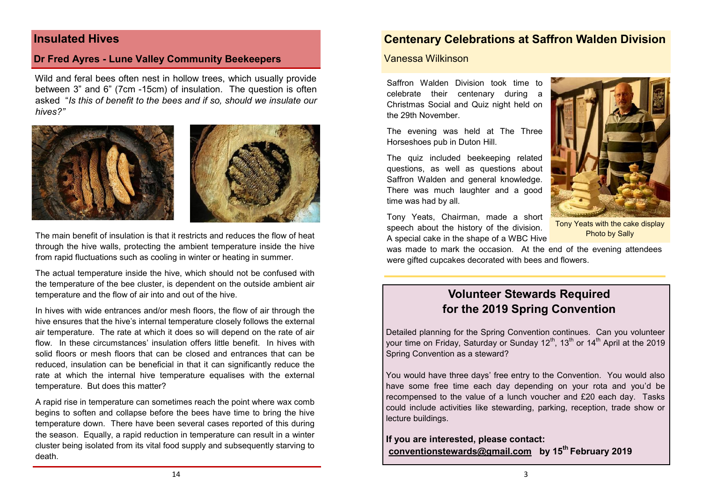### **Insulated Hives**

### **Dr Fred Ayres - Lune Valley Community Beekeepers**

Wild and feral bees often nest in hollow trees, which usually provide between 3" and 6" (7cm -15cm) of insulation. The question is often asked "*Is this of benefit to the bees and if so, should we insulate our hives?"* 



The main benefit of insulation is that it restricts and reduces the flow of heat through the hive walls, protecting the ambient temperature inside the hive from rapid fluctuations such as cooling in winter or heating in summer.

The actual temperature inside the hive, which should not be confused with the temperature of the bee cluster, is dependent on the outside ambient air temperature and the flow of air into and out of the hive.

In hives with wide entrances and/or mesh floors, the flow of air through the hive ensures that the hive's internal temperature closely follows the external air temperature. The rate at which it does so will depend on the rate of air flow. In these circumstances' insulation offers little benefit. In hives with solid floors or mesh floors that can be closed and entrances that can be reduced, insulation can be beneficial in that it can significantly reduce the rate at which the internal hive temperature equalises with the external temperature. But does this matter?

A rapid rise in temperature can sometimes reach the point where wax comb begins to soften and collapse before the bees have time to bring the hive temperature down. There have been several cases reported of this during the season. Equally, a rapid reduction in temperature can result in a winter cluster being isolated from its vital food supply and subsequently starving to death.

### **Centenary Celebrations at Saffron Walden Division**

#### Vanessa Wilkinson

Saffron Walden Division took time to celebrate their centenary during a Christmas Social and Quiz night held on the 29th November.

The evening was held at The Three Horseshoes pub in Duton Hill.

The quiz included beekeeping related questions, as well as questions about Saffron Walden and general knowledge. There was much laughter and a good time was had by all.

Tony Yeats, Chairman, made a short speech about the history of the division. A special cake in the shape of a WBC Hive



Tony Yeats with the cake display Photo by Sally

was made to mark the occasion. At the end of the evening attendees were gifted cupcakes decorated with bees and flowers.

# **Volunteer Stewards Required for the 2019 Spring Convention**

Detailed planning for the Spring Convention continues. Can you volunteer your time on Friday, Saturday or Sunday 12<sup>th</sup>, 13<sup>th</sup> or 14<sup>th</sup> April at the 2019 Spring Convention as a steward?

You would have three days' free entry to the Convention. You would also have some free time each day depending on your rota and you'd be recompensed to the value of a lunch voucher and £20 each day. Tasks could include activities like stewarding, parking, reception, trade show or lecture buildings.

**If you are interested, please contact: conventionstewards@gmail.com by 15th February 2019**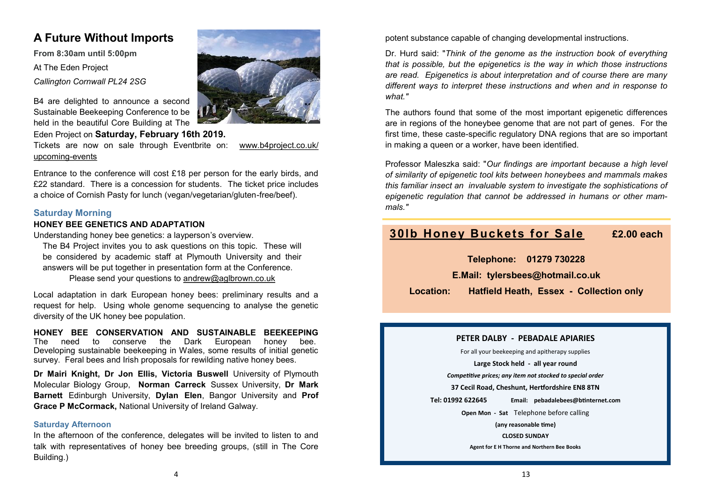## **A Future Without Imports**

**From 8:30am until 5:00pm** At The Eden Project *Callington Cornwall PL24 2SG*



B4 are delighted to announce a second Sustainable Beekeeping Conference to be held in the beautiful Core Building at The

Eden Project on **Saturday, February 16th 2019.**

Tickets are now on sale through Eventbrite on: [www.b4project.co.uk/](https://www.b4project.co.uk/upcoming-events) [upcoming](https://www.b4project.co.uk/upcoming-events)-events

Entrance to the conference will cost £18 per person for the early birds, and £22 standard. There is a concession for students. The ticket price includes a choice of Cornish Pasty for lunch (vegan/vegetarian/gluten-free/beef).

#### **Saturday Morning**

#### **HONEY BEE GENETICS AND ADAPTATION**

Understanding honey bee genetics: a layperson's overview.

The B4 Project invites you to ask questions on this topic. These will be considered by academic staff at Plymouth University and their answers will be put together in presentation form at the Conference.

Please send your questions to [andrew@aglbrown.co.uk](javascript:;)

Local adaptation in dark European honey bees: preliminary results and a request for help. Using whole genome sequencing to analyse the genetic diversity of the UK honey bee population.

**HONEY BEE CONSERVATION AND SUSTAINABLE BEEKEEPING** The need to conserve the Dark European honey bee. Developing sustainable beekeeping in Wales, some results of initial genetic survey. Feral bees and Irish proposals for rewilding native honey bees.

**Dr Mairi Knight, Dr Jon Ellis, Victoria Buswell** University of Plymouth Molecular Biology Group, **Norman Carreck** Sussex University, **Dr Mark Barnett** Edinburgh University, **Dylan Elen**, Bangor University and **Prof Grace P McCormack,** National University of Ireland Galway.

#### **Saturday Afternoon**

In the afternoon of the conference, delegates will be invited to listen to and talk with representatives of honey bee breeding groups, (still in The Core Building.)

potent substance capable of changing developmental instructions.

Dr. Hurd said: "*Think of the genome as the instruction book of everything that is possible, but the epigenetics is the way in which those instructions are read. Epigenetics is about interpretation and of course there are many different ways to interpret these instructions and when and in response to what."* 

The authors found that some of the most important epigenetic differences are in regions of the honeybee genome that are not part of genes. For the first time, these caste-specific regulatory DNA regions that are so important in making a queen or a worker, have been identified.

Professor Maleszka said: "*Our findings are important because a high level of similarity of epigenetic tool kits between honeybees and mammals makes this familiar insect an invaluable system to investigate the sophistications of epigenetic regulation that cannot be addressed in humans or other mammals."* 

# **30lb Honey Buckets for Sale £2.00 each**

**Telephone: 01279 730228**

**E.Mail: tylersbees@hotmail.co.uk** 

**Location: Hatfield Heath, Essex - Collection only**

#### **PETER DALBY - PEBADALE APIARIES**

For all your beekeeping and apitherapy supplies

**Large Stock held - all year round**

*Competitive prices; any item not stocked to special order*

**37 Cecil Road, Cheshunt, Hertfordshire EN8 8TN**

**Tel: 01992 622645 Email: pebadalebees@btinternet.com**

**Open Mon - Sat** Telephone before calling **(any reasonable time) CLOSED SUNDAY Agent for E H Thorne and Northern Bee Books**

4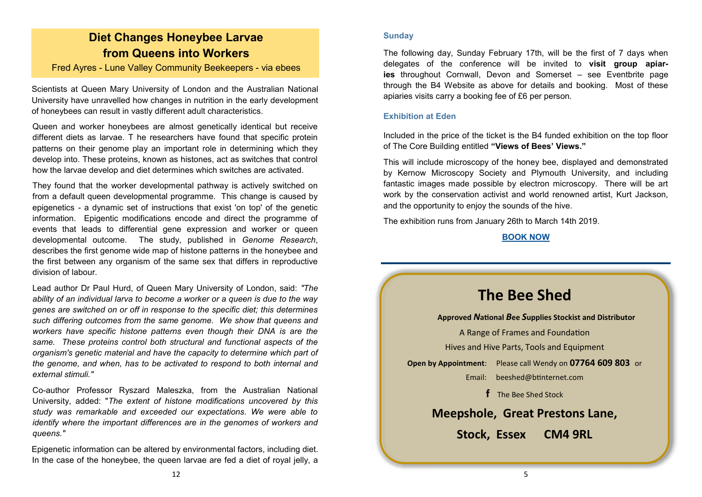# **Diet Changes Honeybee Larvae from Queens into Workers**

Fred Ayres - Lune Valley Community Beekeepers - via ebees

Scientists at Queen Mary University of London and the Australian National University have unravelled how changes in nutrition in the early development of honeybees can result in vastly different adult characteristics.

Queen and worker honeybees are almost genetically identical but receive different diets as larvae. T he researchers have found that specific protein patterns on their genome play an important role in determining which they develop into. These proteins, known as histones, act as switches that control how the larvae develop and diet determines which switches are activated.

They found that the worker developmental pathway is actively switched on from a default queen developmental programme. This change is caused by epigenetics - a dynamic set of instructions that exist 'on top' of the genetic information. Epigentic modifications encode and direct the programme of events that leads to differential gene expression and worker or queen developmental outcome. The study, published in *Genome Research*, describes the first genome wide map of histone patterns in the honeybee and the first between any organism of the same sex that differs in reproductive division of labour.

Lead author Dr Paul Hurd, of Queen Mary University of London, said: *"The ability of an individual larva to become a worker or a queen is due to the way genes are switched on or off in response to the specific diet; this determines such differing outcomes from the same genome. We show that queens and workers have specific histone patterns even though their DNA is are the same. These proteins control both structural and functional aspects of the organism's genetic material and have the capacity to determine which part of the genome, and when, has to be activated to respond to both internal and external stimuli."* 

Co-author Professor Ryszard Maleszka, from the Australian National University, added: "*The extent of histone modifications uncovered by this study was remarkable and exceeded our expectations. We were able to identify where the important differences are in the genomes of workers and queens."* 

Epigenetic information can be altered by environmental factors, including diet. In the case of the honeybee, the queen larvae are fed a diet of royal jelly, a

#### **Sunday**

The following day, Sunday February 17th, will be the first of 7 days when delegates of the conference will be invited to **visit group apiaries** throughout Cornwall, Devon and Somerset – see Eventbrite page through the B4 Website as above for details and booking. Most of these apiaries visits carry a booking fee of £6 per person.

#### **Exhibition at Eden**

Included in the price of the ticket is the B4 funded exhibition on the top floor of The Core Building entitled **"Views of Bees' Views."**

This will include microscopy of the honey bee, displayed and demonstrated by Kernow Microscopy Society and Plymouth University, and including fantastic images made possible by electron microscopy. There will be art work by the conservation activist and world renowned artist, Kurt Jackson, and the opportunity to enjoy the sounds of the hive.

The exhibition runs from January 26th to March 14th 2019.

#### **[BOOK NOW](https://www.b4project.co.uk/upcoming-events)**

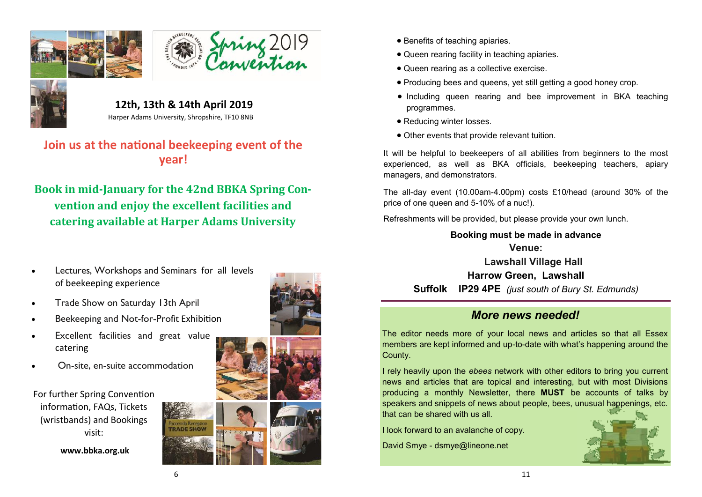





 **12th, 13th & 14th April 2019** Harper Adams University, Shropshire, TF10 8NB

# **Join us at the national beekeeping event of the year!**

**Book in mid-January for the 42nd BBKA Spring Convention and enjoy the excellent facilities and catering available at Harper Adams University**

- Lectures, Workshops and Seminars for all levels of beekeeping experience
- Trade Show on Saturday 13th April
- Beekeeping and Not-for-Profit Exhibition
- Excellent facilities and great value catering
- On-site, en-suite accommodation

For further Spring Convention information, FAQs, Tickets (wristbands) and Bookings visit:

 **www.bbka.org.uk**







- Benefits of teaching apiaries.
- Queen rearing facility in teaching apiaries.
- Queen rearing as a collective exercise.
- Producing bees and queens, yet still getting a good honey crop.
- Including queen rearing and bee improvement in BKA teaching programmes.
- Reducing winter losses.
- Other events that provide relevant tuition.

It will be helpful to beekeepers of all abilities from beginners to the most experienced, as well as BKA officials, beekeeping teachers, apiary managers, and demonstrators.

The all-day event (10.00am-4.00pm) costs £10/head (around 30% of the price of one queen and 5-10% of a nuc!).

Refreshments will be provided, but please provide your own lunch.

### **Booking must be made in advance Venue: Lawshall Village Hall**

**Harrow Green, Lawshall Suffolk IP29 4PE** *(just south of Bury St. Edmunds)*

# *More news needed!*

The editor needs more of your local news and articles so that all Essex members are kept informed and up-to-date with what's happening around the County.

I rely heavily upon the *ebees* network with other editors to bring you current news and articles that are topical and interesting, but with most Divisions producing a monthly Newsletter, there **MUST** be accounts of talks by speakers and snippets of news about people, bees, unusual happenings, etc. that can be shared with us all.

I look forward to an avalanche of copy.

David Smye - dsmye@lineone.net

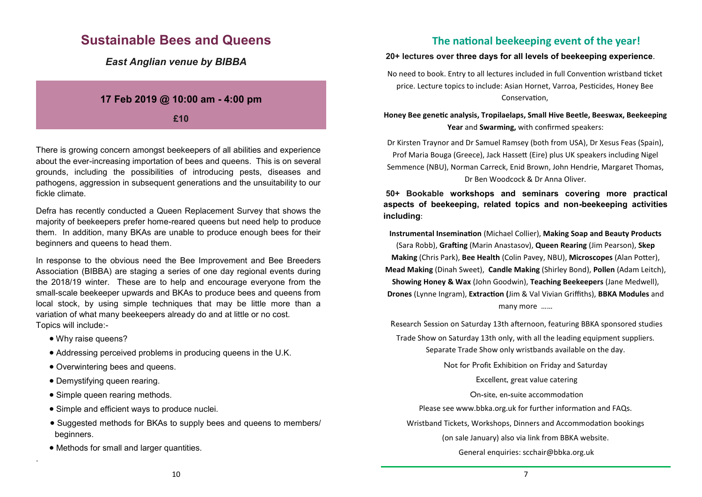# **Sustainable Bees and Queens**

*East Anglian venue by BIBBA*

### **17 Feb 2019 @ 10:00 am - 4:00 pm**

**£10**

There is growing concern amongst beekeepers of all abilities and experience about the ever-increasing importation of bees and queens. This is on several grounds, including the possibilities of introducing pests, diseases and pathogens, aggression in subsequent generations and the unsuitability to our fickle climate.

Defra has recently conducted a Queen Replacement Survey that shows the majority of beekeepers prefer home-reared queens but need help to produce them. In addition, many BKAs are unable to produce enough bees for their beginners and queens to head them.

In response to the obvious need the Bee Improvement and Bee Breeders Association (BIBBA) are staging a series of one day regional events during the 2018/19 winter. These are to help and encourage everyone from the small-scale beekeeper upwards and BKAs to produce bees and queens from local stock, by using simple techniques that may be little more than a variation of what many beekeepers already do and at little or no cost. Topics will include:-

• Why raise queens?

.

- Addressing perceived problems in producing queens in the U.K.
- Overwintering bees and queens.
- Demystifying queen rearing.
- Simple queen rearing methods.
- Simple and efficient ways to produce nuclei.
- Suggested methods for BKAs to supply bees and queens to members/ beginners.
- Methods for small and larger quantities.

### **The national beekeeping event of the year!**

#### **20+ lectures over three days for all levels of beekeeping experience**.

No need to book. Entry to all lectures included in full Convention wristband ticket price. Lecture topics to include: Asian Hornet, Varroa, Pesticides, Honey Bee Conservation,

**Honey Bee genetic analysis, Tropilaelaps, Small Hive Beetle, Beeswax, Beekeeping Year** and **Swarming,** with confirmed speakers:

Dr Kirsten Traynor and Dr Samuel Ramsey (both from USA), Dr Xesus Feas (Spain), Prof Maria Bouga (Greece), Jack Hassett (Eire) plus UK speakers including Nigel Semmence (NBU), Norman Carreck, Enid Brown, John Hendrie, Margaret Thomas, Dr Ben Woodcock & Dr Anna Oliver.

**50+ Bookable workshops and seminars covering more practical aspects of beekeeping, related topics and non-beekeeping activities including**:

**Instrumental Insemination** (Michael Collier), **Making Soap and Beauty Products**  (Sara Robb), **Grafting** (Marin Anastasov), **Queen Rearing** (Jim Pearson), **Skep Making** (Chris Park), **Bee Health** (Colin Pavey, NBU), **Microscopes** (Alan Potter), **Mead Making** (Dinah Sweet), **Candle Making** (Shirley Bond), **Pollen** (Adam Leitch), **Showing Honey & Wax** (John Goodwin), **Teaching Beekeepers** (Jane Medwell), **Drones** (Lynne Ingram), **Extraction (**Jim & Val Vivian Griffiths), **BBKA Modules** and many more ……

Research Session on Saturday 13th afternoon, featuring BBKA sponsored studies Trade Show on Saturday 13th only, with all the leading equipment suppliers.

Separate Trade Show only wristbands available on the day.

Not for Profit Exhibition on Friday and Saturday

Excellent, great value catering

On-site, en-suite accommodation

Please see www.bbka.org.uk for further information and FAQs.

Wristband Tickets, Workshops, Dinners and Accommodation bookings

(on sale January) also via link from BBKA website.

General enquiries: scchair@bbka.org.uk